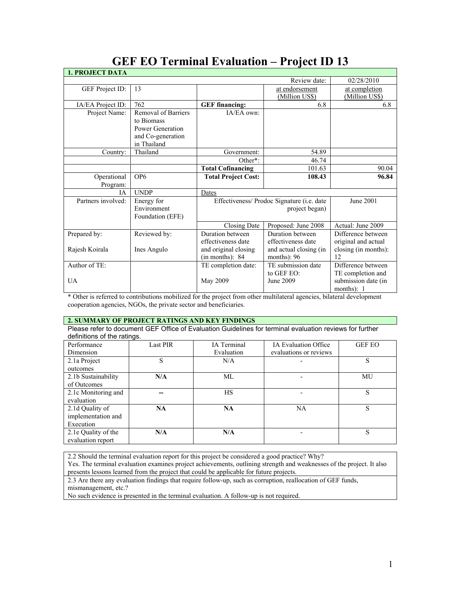| <b>1. PROJECT DATA</b>         |                                                                                           |                                                                |                                                                  |                                                                   |
|--------------------------------|-------------------------------------------------------------------------------------------|----------------------------------------------------------------|------------------------------------------------------------------|-------------------------------------------------------------------|
|                                |                                                                                           |                                                                | Review date:                                                     | 02/28/2010                                                        |
| GEF Project ID:                | 13                                                                                        |                                                                | at endorsement<br>(Million US\$)                                 | at completion<br>(Million US\$)                                   |
| IA/EA Project ID:              | 762                                                                                       | <b>GEF</b> financing:                                          | 6.8                                                              | 6.8                                                               |
| Project Name:                  | Removal of Barriers<br>to Biomass<br>Power Generation<br>and Co-generation<br>in Thailand | IA/EA own:                                                     |                                                                  |                                                                   |
| Country:                       | Thailand                                                                                  | Government:                                                    | 54.89                                                            |                                                                   |
|                                |                                                                                           | Other*:                                                        | 46.74                                                            |                                                                   |
|                                |                                                                                           | <b>Total Cofinancing</b>                                       | 101.63                                                           | 90.04                                                             |
| Operational<br>Program:        | OP <sub>6</sub>                                                                           | <b>Total Project Cost:</b>                                     | 108.43                                                           | 96.84                                                             |
| <b>IA</b>                      | <b>UNDP</b>                                                                               | Dates                                                          |                                                                  |                                                                   |
| Partners involved:             | Energy for<br>Environment<br>Foundation (EFE)                                             | Effectiveness/ Prodoc Signature (i.e. date                     | June 2001                                                        |                                                                   |
|                                |                                                                                           | Closing Date                                                   | Proposed: June 2008                                              | Actual: June 2009                                                 |
| Prepared by:<br>Rajesh Koirala | Reviewed by:<br>Ines Angulo                                                               | Duration between<br>effectiveness date<br>and original closing | Duration between<br>effectiveness date<br>and actual closing (in | Difference between<br>original and actual<br>closing (in months): |
|                                |                                                                                           | (in months): 84                                                | months): $96$                                                    | 12                                                                |
| Author of TE:<br><b>UA</b>     |                                                                                           | TE completion date:<br>May 2009                                | TE submission date<br>to GEF EO:<br>June 2009                    | Difference between<br>TE completion and<br>submission date (in    |
|                                |                                                                                           |                                                                |                                                                  | months): $1$                                                      |

# **GEF EO Terminal Evaluation – Project ID 13**

\* Other is referred to contributions mobilized for the project from other multilateral agencies, bilateral development cooperation agencies, NGOs, the private sector and beneficiaries.

## **2. SUMMARY OF PROJECT RATINGS AND KEY FINDINGS**

Please refer to document GEF Office of Evaluation Guidelines for terminal evaluation reviews for further definitions of the ratings.

| ao mmono or monamo.<br>Performance<br>Dimension    | <b>Last PIR</b> | IA Terminal<br>Evaluation | IA Evaluation Office<br>evaluations or reviews | <b>GEF EO</b> |
|----------------------------------------------------|-----------------|---------------------------|------------------------------------------------|---------------|
| 2.1a Project<br>outcomes                           | S               | N/A                       |                                                | S             |
| 2.1b Sustainability<br>of Outcomes                 | N/A             | ML                        |                                                | MU            |
| 2.1c Monitoring and<br>evaluation                  |                 | HS                        |                                                | S             |
| 2.1d Quality of<br>implementation and<br>Execution | <b>NA</b>       | <b>NA</b>                 | <b>NA</b>                                      | S             |
| 2.1e Quality of the<br>evaluation report           | N/A             | N/A                       |                                                | S             |

2.2 Should the terminal evaluation report for this project be considered a good practice? Why?

Yes. The terminal evaluation examines project achievements, outlining strength and weaknesses of the project. It also presents lessons learned from the project that could be applicable for future projects.

2.3 Are there any evaluation findings that require follow-up, such as corruption, reallocation of GEF funds, mismanagement, etc.?

No such evidence is presented in the terminal evaluation. A follow-up is not required.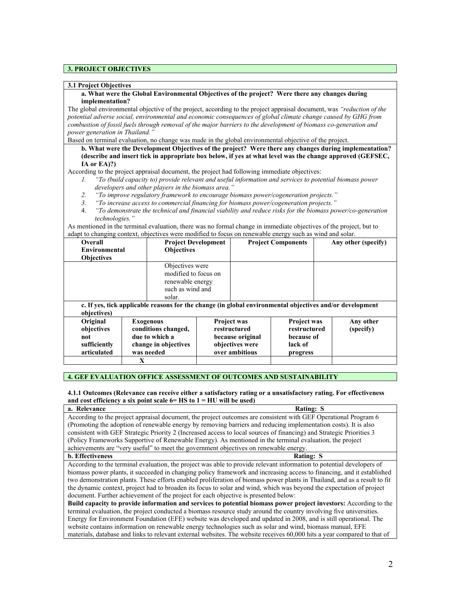## **3. PROJECT OBJECTIVES**

#### **3.1 Project Objectives**

#### **a. What were the Global Environmental Objectives of the project? Were there any changes during implementation?**

The global environmental objective of the project, according to the project appraisal document, was *"reduction of the potential adverse social, environmental and economic consequences of global climate change caused by GHG from combustion of fossil fuels through removal of the major barriers to the development of biomass co-generation and power generation in Thailand."* 

Based on terminal evaluation, no change was made in the global environmental objective of the project.

**b. What were the Development Objectives of the project? Were there any changes during implementation? (describe and insert tick in appropriate box below, if yes at what level was the change approved (GEFSEC, IA or EA)?)**

According to the project appraisal document, the project had following immediate objectives:

- *1. "To (build capacity to) provide relevant and useful information and services to potential biomass power developers and other players in the biomass area."*
- *2. "To improve regulatory framework to encourage biomass power/cogeneration projects."*
- *3. "To increase access to commercial financing for biomass power/cogeneration projects."*
- 4. *"To demonstrate the technical and financial viability and reduce risks for the biomass power/co-generation technologies."*

As mentioned in the terminal evaluation, there was no formal change in immediate objectives of the project, but to adapt to changing context, objectives were modified to focus on renewable energy such as wind and solar.

| adapt to enanging content, objectives were mounted to rocas on renewable energy such as while and solar.<br>Overall     | <b>Project Development</b> |  |                    | <b>Project Components</b> |  | Any other (specify) |
|-------------------------------------------------------------------------------------------------------------------------|----------------------------|--|--------------------|---------------------------|--|---------------------|
| <b>Environmental</b>                                                                                                    | <b>Objectives</b>          |  |                    |                           |  |                     |
| <b>Objectives</b>                                                                                                       |                            |  |                    |                           |  |                     |
|                                                                                                                         | Objectives were            |  |                    |                           |  |                     |
|                                                                                                                         | modified to focus on       |  |                    |                           |  |                     |
|                                                                                                                         | renewable energy           |  |                    |                           |  |                     |
|                                                                                                                         | such as wind and           |  |                    |                           |  |                     |
|                                                                                                                         | solar.                     |  |                    |                           |  |                     |
| c. If yes, tick applicable reasons for the change (in global environmental objectives and/or development<br>objectives) |                            |  |                    |                           |  |                     |
| Original                                                                                                                | <b>Exogenous</b>           |  | <b>Project was</b> | <b>Project was</b>        |  | Any other           |
| objectives                                                                                                              | conditions changed,        |  | restructured       | restructured              |  | (specify)           |
| not                                                                                                                     | due to which a             |  | because original   | because of                |  |                     |
| sufficiently                                                                                                            | change in objectives       |  | objectives were    | lack of                   |  |                     |
| articulated                                                                                                             | was needed                 |  | over ambitious     | progress                  |  |                     |
|                                                                                                                         | X                          |  |                    |                           |  |                     |

# **4. GEF EVALUATION OFFICE ASSESSMENT OF OUTCOMES AND SUSTAINABILITY**

**4.1.1 Outcomes (Relevance can receive either a satisfactory rating or a unsatisfactory rating. For effectiveness and cost efficiency a six point scale 6= HS to 1 = HU will be used)** 

| a. Relevance<br><b>Rating: S</b>                                                                                          |
|---------------------------------------------------------------------------------------------------------------------------|
| According to the project appraisal document, the project outcomes are consistent with GEF Operational Program 6           |
| (Promoting the adoption of renewable energy by removing barriers and reducing implementation costs). It is also           |
| consistent with GEF Strategic Priority 2 (Increased access to local sources of financing) and Strategic Priorities 3      |
| (Policy Frameworks Supportive of Renewable Energy). As mentioned in the terminal evaluation, the project                  |
| achievements are "very useful" to meet the government objectives on renewable energy.                                     |
| <b>b.</b> Effectiveness<br><b>Rating: S</b>                                                                               |
| According to the terminal evaluation, the project was able to provide relevant information to potential developers of     |
| biomass power plants, it succeeded in changing policy framework and increasing access to financing, and it established    |
| two demonstration plants. These efforts enabled proliferation of biomass power plants in Thailand, and as a result to fit |
| the dynamic context, project had to broaden its focus to solar and wind, which was beyond the expectation of project      |
| document. Further achievement of the project for each objective is presented below:                                       |
| Build capacity to provide information and services to potential biomass power project investors: According to the         |
| terminal evaluation, the project conducted a biomass resource study around the country involving five universities.       |
| Energy for Environment Foundation (EFE) website was developed and updated in 2008, and is still operational. The          |
| website contains information on renewable energy technologies such as solar and wind, biomass manual, EFE                 |
| materials, database and links to relevant external websites. The website receives 60,000 hits a year compared to that of  |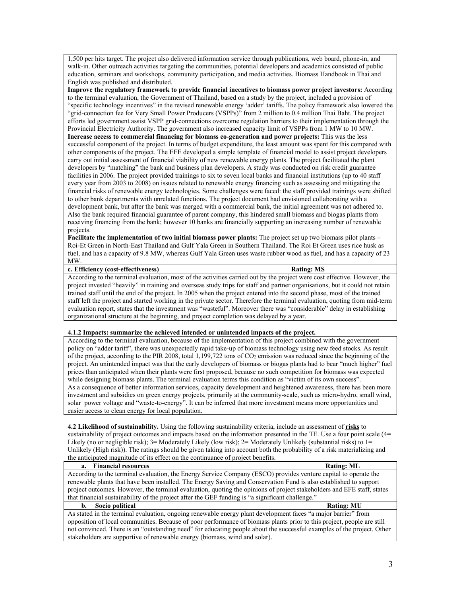1,500 per hits target. The project also delivered information service through publications, web board, phone-in, and walk-in. Other outreach activities targeting the communities, potential developers and academics consisted of public education, seminars and workshops, community participation, and media activities. Biomass Handbook in Thai and English was published and distributed.

**Improve the regulatory framework to provide financial incentives to biomass power project investors:** According to the terminal evaluation, the Government of Thailand, based on a study by the project, included a provision of "specific technology incentives" in the revised renewable energy 'adder' tariffs. The policy framework also lowered the "grid-connection fee for Very Small Power Producers (VSPPs)" from 2 million to 0.4 million Thai Baht. The project efforts led government assist VSPP grid-connections overcome regulation barriers to their implementation through the Provincial Electricity Authority. The government also increased capacity limit of VSPPs from 1 MW to 10 MW. **Increase access to commercial financing for biomass co-generation and power projects:** This was the less successful component of the project. In terms of budget expenditure, the least amount was spent for this compared with other components of the project. The EFE developed a simple template of financial model to assist project developers carry out initial assessment of financial viability of new renewable energy plants. The project facilitated the plant developers by "matching" the bank and business plan developers. A study was conducted on risk credit guarantee facilities in 2006. The project provided trainings to six to seven local banks and financial institutions (up to 40 staff every year from 2003 to 2008) on issues related to renewable energy financing such as assessing and mitigating the financial risks of renewable energy technologies. Some challenges were faced: the staff provided trainings were shifted to other bank departments with unrelated functions. The project document had envisioned collaborating with a development bank, but after the bank was merged with a commercial bank, the initial agreement was not adhered to. Also the bank required financial guarantee of parent company, this hindered small biomass and biogas plants from receiving financing from the bank; however 10 banks are financially supporting an increasing number of renewable projects.

**Facilitate the implementation of two initial biomass power plants:** The project set up two biomass pilot plants – Roi-Et Green in North-East Thailand and Gulf Yala Green in Southern Thailand. The Roi Et Green uses rice husk as fuel, and has a capacity of 9.8 MW, whereas Gulf Yala Green uses waste rubber wood as fuel, and has a capacity of 23 MW.

## **c. Efficiency (cost-effectiveness) Rating: MS**

According to the terminal evaluation, most of the activities carried out by the project were cost effective. However, the project invested "heavily" in training and overseas study trips for staff and partner organisations, but it could not retain trained staff until the end of the project. In 2005 when the project entered into the second phase, most of the trained staff left the project and started working in the private sector. Therefore the terminal evaluation, quoting from mid-term evaluation report, states that the investment was "wasteful". Moreover there was "considerable" delay in establishing organizational structure at the beginning, and project completion was delayed by a year.

#### **4.1.2 Impacts: summarize the achieved intended or unintended impacts of the project.**

According to the terminal evaluation, because of the implementation of this project combined with the government policy on "adder tariff", there was unexpectedly rapid take-up of biomass technology using new feed stocks. As result of the project, according to the PIR 2008, total 1,199,722 tons of CO2 emission was reduced since the beginning of the project. An unintended impact was that the early developers of biomass or biogas plants had to bear "much higher" fuel prices than anticipated when their plants were first proposed, because no such competition for biomass was expected while designing biomass plants. The terminal evaluation terms this condition as "victim of its own success". As a consequence of better information services, capacity development and heightened awareness, there has been more investment and subsidies on green energy projects, primarily at the community-scale, such as micro-hydro, small wind, solar power voltage and "waste-to-energy". It can be inferred that more investment means more opportunities and easier access to clean energy for local population.

**4.2 Likelihood of sustainability.** Using the following sustainability criteria, include an assessment of **risks** to sustainability of project outcomes and impacts based on the information presented in the TE. Use a four point scale (4= Likely (no or negligible risk); 3= Moderately Likely (low risk); 2= Moderately Unlikely (substantial risks) to 1= Unlikely (High risk)). The ratings should be given taking into account both the probability of a risk materializing and the anticipated magnitude of its effect on the continuance of project benefits.

| the anticipated magnitude of no criter on the communice of project ochemot                                             |                   |
|------------------------------------------------------------------------------------------------------------------------|-------------------|
| a. Financial resources                                                                                                 | <b>Rating: ML</b> |
| According to the terminal evaluation, the Energy Service Company (ESCO) provides venture capital to operate the        |                   |
| renewable plants that have been installed. The Energy Saving and Conservation Fund is also established to support      |                   |
| project outcomes. However, the terminal evaluation, quoting the opinions of project stakeholders and EFE staff, states |                   |
| that financial sustainability of the project after the GEF funding is "a significant challenge."                       |                   |
| Socio political<br>b.                                                                                                  | <b>Rating: MU</b> |

As stated in the terminal evaluation, ongoing renewable energy plant development faces "a major barrier" from opposition of local communities. Because of poor performance of biomass plants prior to this project, people are still not convinced. There is an "outstanding need" for educating people about the successful examples of the project. Other stakeholders are supportive of renewable energy (biomass, wind and solar).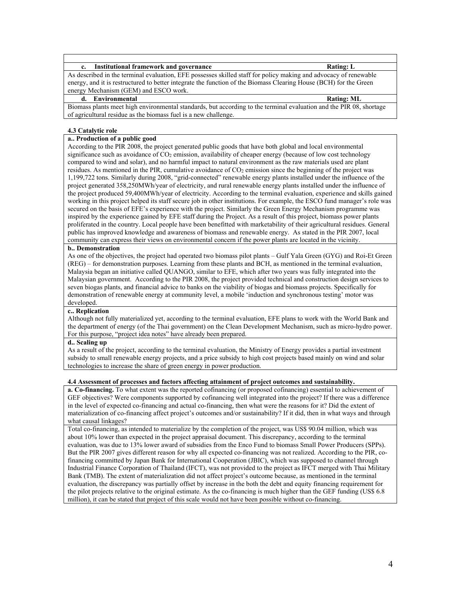| Institutional framework and governance |  |  |  |
|----------------------------------------|--|--|--|
|                                        |  |  |  |

As described in the terminal evaluation, EFE possesses skilled staff for policy making and advocacy of renewable energy, and it is restructured to better integrate the function of the Biomass Clearing House (BCH) for the Green energy Mechanism (GEM) and ESCO work.

#### **d. Environmental Rating: ML**

Biomass plants meet high environmental standards, but according to the terminal evaluation and the PIR 08, shortage of agricultural residue as the biomass fuel is a new challenge.

## **4.3 Catalytic role**

# **a.. Production of a public good**

According to the PIR 2008, the project generated public goods that have both global and local environmental significance such as avoidance of CO<sub>2</sub> emission, availability of cheaper energy (because of low cost technology compared to wind and solar), and no harmful impact to natural environment as the raw materials used are plant residues. As mentioned in the PIR, cumulative avoidance of CO<sub>2</sub> emission since the beginning of the project was 1,199,722 tons. Similarly during 2008, "grid-connected" renewable energy plants installed under the influence of the project generated 358,250MWh/year of electricity, and rural renewable energy plants installed under the influence of the project produced 59,400MWh/year of electricity. According to the terminal evaluation, experience and skills gained working in this project helped its staff secure job in other institutions. For example, the ESCO fund manager's role was secured on the basis of EFE's experience with the project. Similarly the Green Energy Mechanism programme was inspired by the experience gained by EFE staff during the Project. As a result of this project, biomass power plants proliferated in the country. Local people have been benefitted with marketability of their agricultural residues. General public has improved knowledge and awareness of biomass and renewable energy. As stated in the PIR 2007, local community can express their views on environmental concern if the power plants are located in the vicinity.

## **b.. Demonstration**

As one of the objectives, the project had operated two biomass pilot plants – Gulf Yala Green (GYG) and Roi-Et Green (REG) – for demonstration purposes. Learning from these plants and BCH, as mentioned in the terminal evaluation, Malaysia began an initiative called QUANGO, similar to EFE, which after two years was fully integrated into the Malaysian government. According to the PIR 2008, the project provided technical and construction design services to seven biogas plants, and financial advice to banks on the viability of biogas and biomass projects. Specifically for demonstration of renewable energy at community level, a mobile 'induction and synchronous testing' motor was developed.

# **c.. Replication**

Although not fully materialized yet, according to the terminal evaluation, EFE plans to work with the World Bank and the department of energy (of the Thai government) on the Clean Development Mechanism, such as micro-hydro power. For this purpose, "project idea notes" have already been prepared.

## **d.. Scaling up**

As a result of the project, according to the terminal evaluation, the Ministry of Energy provides a partial investment subsidy to small renewable energy projects, and a price subsidy to high cost projects based mainly on wind and solar technologies to increase the share of green energy in power production.

## **4.4 Assessment of processes and factors affecting attainment of project outcomes and sustainability.**

**a. Co-financing.** To what extent was the reported cofinancing (or proposed cofinancing) essential to achievement of GEF objectives? Were components supported by cofinancing well integrated into the project? If there was a difference in the level of expected co-financing and actual co-financing, then what were the reasons for it? Did the extent of materialization of co-financing affect project's outcomes and/or sustainability? If it did, then in what ways and through what causal linkages?

Total co-financing, as intended to materialize by the completion of the project, was US\$ 90.04 million, which was about 10% lower than expected in the project appraisal document. This discrepancy, according to the terminal evaluation, was due to 13% lower award of subsidies from the Enco Fund to biomass Small Power Producers (SPPs). But the PIR 2007 gives different reason for why all expected co-financing was not realized. According to the PIR, cofinancing committed by Japan Bank for International Cooperation (JBIC), which was supposed to channel through Industrial Finance Corporation of Thailand (IFCT), was not provided to the project as IFCT merged with Thai Military Bank (TMB). The extent of materialization did not affect project's outcome because, as mentioned in the terminal evaluation, the discrepancy was partially offset by increase in the both the debt and equity financing requirement for the pilot projects relative to the original estimate. As the co-financing is much higher than the GEF funding (US\$ 6.8 million), it can be stated that project of this scale would not have been possible without co-financing.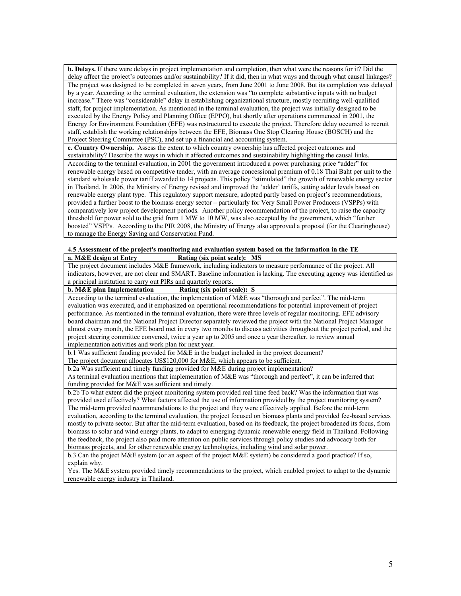**b. Delays.** If there were delays in project implementation and completion, then what were the reasons for it? Did the delay affect the project's outcomes and/or sustainability? If it did, then in what ways and through what causal linkages? The project was designed to be completed in seven years, from June 2001 to June 2008. But its completion was delayed by a year. According to the terminal evaluation, the extension was "to complete substantive inputs with no budget increase." There was "considerable" delay in establishing organizational structure, mostly recruiting well-qualified staff, for project implementation. As mentioned in the terminal evaluation, the project was initially designed to be executed by the Energy Policy and Planning Office (EPPO), but shortly after operations commenced in 2001, the Energy for Environment Foundation (EFE) was restructured to execute the project. Therefore delay occurred to recruit staff, establish the working relationships between the EFE, Biomass One Stop Clearing House (BOSCH) and the Project Steering Committee (PSC), and set up a financial and accounting system.

**c. Country Ownership.** Assess the extent to which country ownership has affected project outcomes and

sustainability? Describe the ways in which it affected outcomes and sustainability highlighting the causal links. According to the terminal evaluation, in 2001 the government introduced a power purchasing price "adder" for renewable energy based on competitive tender, with an average concessional premium of 0.18 Thai Baht per unit to the standard wholesale power tariff awarded to 14 projects. This policy "stimulated" the growth of renewable energy sector in Thailand. In 2006, the Ministry of Energy revised and improved the 'adder' tariffs, setting adder levels based on renewable energy plant type. This regulatory support measure, adopted partly based on project's recommendations, provided a further boost to the biomass energy sector – particularly for Very Small Power Producers (VSPPs) with comparatively low project development periods. Another policy recommendation of the project, to raise the capacity threshold for power sold to the grid from 1 MW to 10 MW, was also accepted by the government, which "further boosted" VSPPs. According to the PIR 2008, the Ministry of Energy also approved a proposal (for the Clearinghouse) to manage the Energy Saving and Conservation Fund.

# **4.5 Assessment of the project's monitoring and evaluation system based on the information in the TE**

| a. M&E design at Entry                                           | Rating (six point scale): MS                                                                                          |
|------------------------------------------------------------------|-----------------------------------------------------------------------------------------------------------------------|
|                                                                  | The project document includes M&E framework, including indicators to measure performance of the project. All          |
|                                                                  | indicators, however, are not clear and SMART. Baseline information is lacking. The executing agency was identified as |
| a principal institution to carry out PIRs and quarterly reports. |                                                                                                                       |

**b. M&E plan Implementation Rating (six point scale): S** According to the terminal evaluation, the implementation of M&E was "thorough and perfect". The mid-term evaluation was executed, and it emphasized on operational recommendations for potential improvement of project performance. As mentioned in the terminal evaluation, there were three levels of regular monitoring. EFE advisory board chairman and the National Project Director separately reviewed the project with the National Project Manager almost every month, the EFE board met in every two months to discuss activities throughout the project period, and the project steering committee convened, twice a year up to 2005 and once a year thereafter, to review annual implementation activities and work plan for next year.

b.1 Was sufficient funding provided for M&E in the budget included in the project document?

The project document allocates US\$120,000 for M&E, which appears to be sufficient.

b.2a Was sufficient and timely funding provided for M&E during project implementation?

As terminal evaluation mentions that implementation of M&E was "thorough and perfect", it can be inferred that funding provided for M&E was sufficient and timely.

b.2b To what extent did the project monitoring system provided real time feed back? Was the information that was provided used effectively? What factors affected the use of information provided by the project monitoring system? The mid-term provided recommendations to the project and they were effectively applied. Before the mid-term evaluation, according to the terminal evaluation, the project focused on biomass plants and provided fee-based services mostly to private sector. But after the mid-term evaluation, based on its feedback, the project broadened its focus, from biomass to solar and wind energy plants, to adapt to emerging dynamic renewable energy field in Thailand. Following the feedback, the project also paid more attention on public services through policy studies and advocacy both for biomass projects, and for other renewable energy technologies, including wind and solar power.

b.3 Can the project M&E system (or an aspect of the project M&E system) be considered a good practice? If so, explain why.

Yes. The M&E system provided timely recommendations to the project, which enabled project to adapt to the dynamic renewable energy industry in Thailand.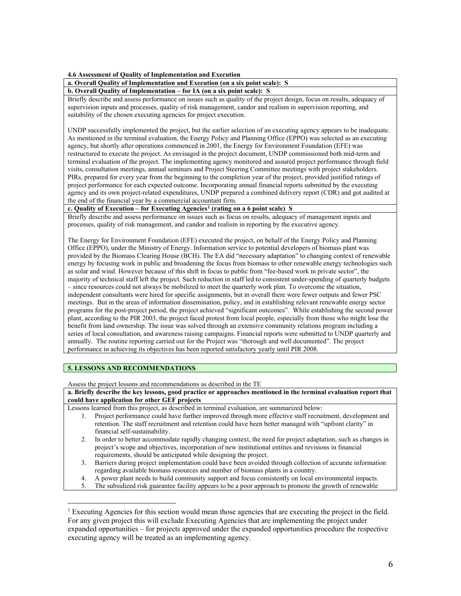**4.6 Assessment of Quality of Implementation and Execution**

**a. Overall Quality of Implementation and Execution (on a six point scale): S b. Overall Quality of Implementation – for IA (on a six point scale): S**

Briefly describe and assess performance on issues such as quality of the project design, focus on results, adequacy of supervision inputs and processes, quality of risk management, candor and realism in supervision reporting, and suitability of the chosen executing agencies for project execution.

UNDP successfully implemented the project, but the earlier selection of an executing agency appears to be inadequate. As mentioned in the terminal evaluation, the Energy Policy and Planning Office (EPPO) was selected as an executing agency, but shortly after operations commenced in 2001, the Energy for Environment Foundation (EFE) was restructured to execute the project. As envisaged in the project document, UNDP commissioned both mid-term and terminal evaluation of the project. The implementing agency monitored and assured project performance through field visits, consultation meetings, annual seminars and Project Steering Committee meetings with project stakeholders. PIRs, prepared for every year from the beginning to the completion year of the project, provided justified ratings of project performance for each expected outcome. Incorporating annual financial reports submitted by the executing agency and its own project-related expenditures, UNDP prepared a combined delivery report (CDR) and got audited at the end of the financial year by a commercial accountant firm.

**c. Quality of Execution – for Executing Agencies[1](#page-5-0) (rating on a 6 point scale) S**

Briefly describe and assess performance on issues such as focus on results, adequacy of management inputs and processes, quality of risk management, and candor and realism in reporting by the executive agency.

The Energy for Environment Foundation (EFE) executed the project, on behalf of the Energy Policy and Planning Office (EPPO), under the Ministry of Energy. Information service to potential developers of biomass plant was provided by the Biomass Clearing House (BCH). The EA did "necessary adaptation" to changing context of renewable energy by focusing work in public and broadening the focus from biomass to other renewable energy technologies such as solar and wind. However because of this shift in focus to public from "fee-based work in private sector", the majority of technical staff left the project. Such reduction in staff led to consistent under-spending of quarterly budgets – since resources could not always be mobilized to meet the quarterly work plan. To overcome the situation, independent consultants were hired for specific assignments, but in overall there were fewer outputs and fewer PSC meetings. But in the areas of information dissemination, policy, and in establishing relevant renewable energy sector programs for the post-project period, the project achieved "significant outcomes". While establishing the second power plant, according to the PIR 2003, the project faced protest from local people, especially from those who might lose the benefit from land ownership. The issue was solved through an extensive community relations program including a series of local consultation, and awareness raising campaigns. Financial reports were submitted to UNDP quarterly and annually. The routine reporting carried out for the Project was "thorough and well documented". The project performance in achieving its objectives has been reported satisfactory yearly until PIR 2008.

# **5. LESSONS AND RECOMMENDATIONS**

 $\overline{a}$ 

Assess the project lessons and recommendations as described in the TE

#### **a. Briefly describe the key lessons, good practice or approaches mentioned in the terminal evaluation report that could have application for other GEF projects**

Lessons learned from this project, as described in terminal evaluation, are summarized below:

- 1. Project performance could have further improved through more effective staff recruitment, development and retention. The staff recruitment and retention could have been better managed with "upfront clarity" in financial self-sustainability.
- 2. In order to better accommodate rapidly changing context, the need for project adaptation, such as changes in project's scope and objectives, incorporation of new institutional entities and revisions in financial requirements, should be anticipated while designing the project.
- 3. Barriers during project implementation could have been avoided through collection of accurate information regarding available biomass resources and number of biomass plants in a country.
- 4. A power plant needs to build community support and focus consistently on local environmental impacts.
- 5. The subsidized risk guarantee facility appears to be a poor approach to promote the growth of renewable

<span id="page-5-0"></span><sup>&</sup>lt;sup>1</sup> Executing Agencies for this section would mean those agencies that are executing the project in the field. For any given project this will exclude Executing Agencies that are implementing the project under expanded opportunities – for projects approved under the expanded opportunities procedure the respective executing agency will be treated as an implementing agency.